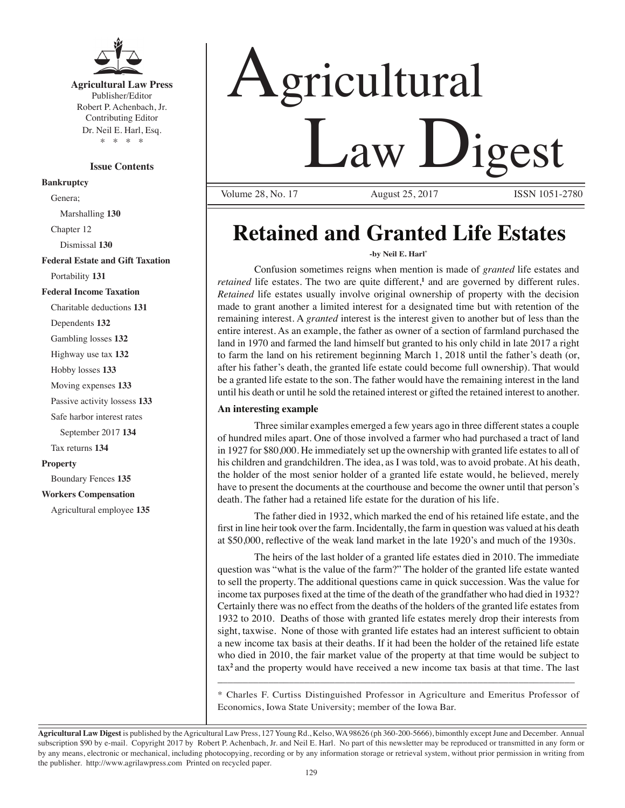

**Agricultural Law Press** Publisher/Editor Robert P. Achenbach, Jr. Contributing Editor Dr. Neil E. Harl, Esq. \* \* \* \*

#### **Issue Contents**

**Bankruptcy**

Genera; Marshalling **130**

Chapter 12

Dismissal **130**

**Federal Estate and Gift Taxation**

Portability **131**

#### **Federal Income Taxation**

Charitable deductions **131**

Dependents **132**

Gambling losses **132**

Highway use tax **132**

Hobby losses **133**

Moving expenses **133**

Passive activity lossess **133**

Safe harbor interest rates

September 2017 **134**

Tax returns **134**

#### **Property**

Boundary Fences **135**

#### **Workers Compensation**

Agricultural employee **135**

# Agricultural Law Digest

Volume 28, No. 17 August 25, 2017 ISSN 1051-2780

# **Retained and Granted Life Estates**

#### **-by Neil E. Harl\***

Confusion sometimes reigns when mention is made of *granted* life estates and retained life estates. The two are quite different,<sup>1</sup> and are governed by different rules. *Retained* life estates usually involve original ownership of property with the decision made to grant another a limited interest for a designated time but with retention of the remaining interest. A *granted* interest is the interest given to another but of less than the entire interest. As an example, the father as owner of a section of farmland purchased the land in 1970 and farmed the land himself but granted to his only child in late 2017 a right to farm the land on his retirement beginning March 1, 2018 until the father's death (or, after his father's death, the granted life estate could become full ownership). That would be a granted life estate to the son. The father would have the remaining interest in the land until his death or until he sold the retained interest or gifted the retained interest to another.

#### **An interesting example**

Three similar examples emerged a few years ago in three different states a couple of hundred miles apart. One of those involved a farmer who had purchased a tract of land in 1927 for \$80,000. He immediately set up the ownership with granted life estates to all of his children and grandchildren. The idea, as I was told, was to avoid probate. At his death, the holder of the most senior holder of a granted life estate would, he believed, merely have to present the documents at the courthouse and become the owner until that person's death. The father had a retained life estate for the duration of his life.

The father died in 1932, which marked the end of his retained life estate, and the first in line heir took over the farm. Incidentally, the farm in question was valued at his death at \$50,000, reflective of the weak land market in the late 1920's and much of the 1930s.

The heirs of the last holder of a granted life estates died in 2010. The immediate question was "what is the value of the farm?" The holder of the granted life estate wanted to sell the property. The additional questions came in quick succession. Was the value for income tax purposes fixed at the time of the death of the grandfather who had died in 1932? Certainly there was no effect from the deaths of the holders of the granted life estates from 1932 to 2010. Deaths of those with granted life estates merely drop their interests from sight, taxwise. None of those with granted life estates had an interest sufficient to obtain a new income tax basis at their deaths. If it had been the holder of the retained life estate who died in 2010, the fair market value of the property at that time would be subject to tax**<sup>2</sup>**and the property would have received a new income tax basis at that time. The last

\* Charles F. Curtiss Distinguished Professor in Agriculture and Emeritus Professor of Economics, Iowa State University; member of the Iowa Bar.

\_\_\_\_\_\_\_\_\_\_\_\_\_\_\_\_\_\_\_\_\_\_\_\_\_\_\_\_\_\_\_\_\_\_\_\_\_\_\_\_\_\_\_\_\_\_\_\_\_\_\_\_\_\_\_\_\_\_\_\_\_\_\_\_\_\_\_\_\_\_

**Agricultural Law Digest** is published by the Agricultural Law Press, 127 Young Rd., Kelso, WA 98626 (ph 360-200-5666), bimonthly except June and December. Annual subscription \$90 by e-mail. Copyright 2017 by Robert P. Achenbach, Jr. and Neil E. Harl. No part of this newsletter may be reproduced or transmitted in any form or by any means, electronic or mechanical, including photocopying, recording or by any information storage or retrieval system, without prior permission in writing from the publisher. http://www.agrilawpress.com Printed on recycled paper.